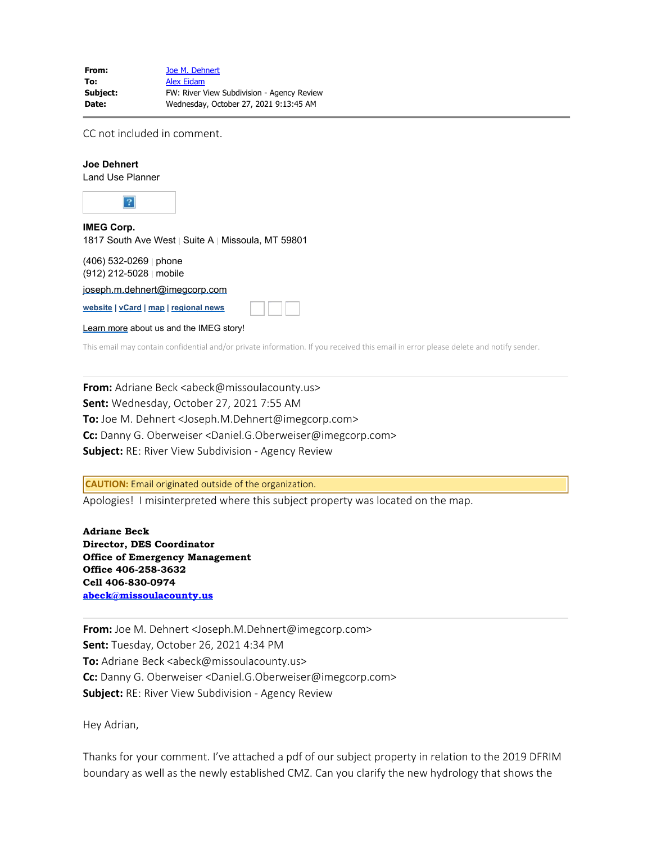| From:        | Joe M. Dehnert                             |
|--------------|--------------------------------------------|
| To:          | <b>Alex Eidam</b>                          |
| Subject:     | FW: River View Subdivision - Agency Review |
| <b>Date:</b> | Wednesday, October 27, 2021 9:13:45 AM     |

CC not included in comment.

## **Joe Dehnert**

Land Use Planner



1817 South Ave West | Suite A | Missoula, MT 59801

(406) 532-0269 | phone (912) 212-5028 | mobile

[joseph.m.dehnert@imegcorp.com](mailto:joseph.m.dehnert@imegcorp.com)

**[website](https://www.imegcorp.com/) | [vCard](https://dynasend.com/signatures/vcard/joseph.m.dehnert-at-imegcorp.com.vcf) | [map](https://www.google.com/maps/place/1817+South+Ave+W,+Missoula,+MT+59801/@46.8480356,-114.0272793,17z/data=!3m1!4b1!4m5!3m4!1s0x535dcdf29ff2db53:0x9cb98fb330b7c9bf!8m2!3d46.8480356!4d-114.0250906?hl=en) | [regional news](https://www.imegcorp.com/location/upper-mountain-state-region/)**

[Learn more](https://www.imegcorp.com/about/our-story/) about us and the IMEG story!

This email may contain confidential and/or private information. If you received this email in error please delete and notify sender.

**From:** Adriane Beck <abeck@missoulacounty.us> **Sent:** Wednesday, October 27, 2021 7:55 AM **To:** Joe M. Dehnert <Joseph.M.Dehnert@imegcorp.com> **Cc:** Danny G. Oberweiser <Daniel.G.Oberweiser@imegcorp.com> **Subject:** RE: River View Subdivision - Agency Review

**CAUTION:** Email originated outside of the organization.

Apologies! I misinterpreted where this subject property was located on the map.

Twitter Facebook LinkedIn

**Adriane Beck Director, DES Coordinator Office of Emergency Management Office 406-258-3632 Cell 406-830-0974 [abeck@missoulacounty.us](mailto:abeck@missoulacounty.us)**

**From:** Joe M. Dehnert <Joseph.M.Dehnert@imegcorp.com> **Sent:** Tuesday, October 26, 2021 4:34 PM **To:** Adriane Beck <abeck@missoulacounty.us> **Cc:** Danny G. Oberweiser <Daniel.G.Oberweiser@imegcorp.com> **Subject:** RE: River View Subdivision - Agency Review

Hey Adrian,

Thanks for your comment. I've attached a pdf of our subject property in relation to the 2019 DFRIM boundary as well as the newly established CMZ. Can you clarify the new hydrology that shows the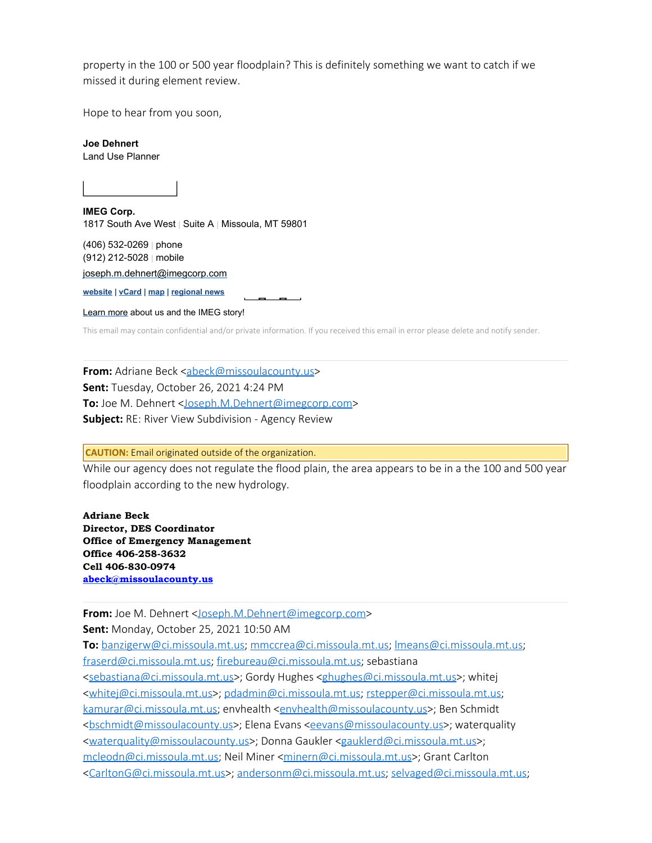property in the 100 or 500 year floodplain? This is definitely something we want to catch if we missed it during element review.

Hope to hear from you soon,

**Joe Dehnert**

Land Use Planner



1817 South Ave West | Suite A | Missoula, MT 59801

(406) 532-0269 | phone (912) 212-5028 | mobile

[joseph.m.dehnert@imegcorp.com](mailto:joseph.m.dehnert@imegcorp.com)

**[website](https://nam04.safelinks.protection.outlook.com/?url=https%3A%2F%2Fwww.imegcorp.com%2F&data=04%7C01%7CJoseph.M.Dehnert%40imegcorp.com%7C7349b52d7b904c6b503608d9995168ff%7C7b8f7acce1c0467a86e9678144da7881%7C1%7C0%7C637709397224872122%7CUnknown%7CTWFpbGZsb3d8eyJWIjoiMC4wLjAwMDAiLCJQIjoiV2luMzIiLCJBTiI6Ik1haWwiLCJXVCI6Mn0%3D%7C1000&sdata=mavOYs%2FBBnqH8abUuZqOI0ZVnW15ftNfYomUKj57yHw%3D&reserved=0) | [vCard](https://nam04.safelinks.protection.outlook.com/?url=https%3A%2F%2Fdynasend.com%2Fsignatures%2Fvcard%2Fjoseph.m.dehnert-at-imegcorp.com.vcf&data=04%7C01%7CJoseph.M.Dehnert%40imegcorp.com%7C7349b52d7b904c6b503608d9995168ff%7C7b8f7acce1c0467a86e9678144da7881%7C1%7C0%7C637709397224882077%7CUnknown%7CTWFpbGZsb3d8eyJWIjoiMC4wLjAwMDAiLCJQIjoiV2luMzIiLCJBTiI6Ik1haWwiLCJXVCI6Mn0%3D%7C1000&sdata=GwhB6LD%2F6WgLV7doGR8C5WE%2BKrEL0R7RMFmzO%2F6%2FgZQ%3D&reserved=0) | [map](https://nam04.safelinks.protection.outlook.com/?url=https%3A%2F%2Fwww.google.com%2Fmaps%2Fplace%2F1817%2BSouth%2BAve%2BW%2C%2BMissoula%2C%2BMT%2B59801%2F%4046.8480356%2C-114.0272793%2C17z%2Fdata%3D!3m1!4b1!4m5!3m4!1s0x535dcdf29ff2db53%3A0x9cb98fb330b7c9bf!8m2!3d46.8480356!4d-114.0250906%3Fhl%3Den&data=04%7C01%7CJoseph.M.Dehnert%40imegcorp.com%7C7349b52d7b904c6b503608d9995168ff%7C7b8f7acce1c0467a86e9678144da7881%7C1%7C0%7C637709397224882077%7CUnknown%7CTWFpbGZsb3d8eyJWIjoiMC4wLjAwMDAiLCJQIjoiV2luMzIiLCJBTiI6Ik1haWwiLCJXVCI6Mn0%3D%7C1000&sdata=vSHHYqF6PEoDP%2FmjvWx%2BZnzRqy49fn1E20J7alUvgeI%3D&reserved=0) | [regional news](https://nam04.safelinks.protection.outlook.com/?url=https%3A%2F%2Fwww.imegcorp.com%2Flocation%2Fupper-mountain-state-region%2F&data=04%7C01%7CJoseph.M.Dehnert%40imegcorp.com%7C7349b52d7b904c6b503608d9995168ff%7C7b8f7acce1c0467a86e9678144da7881%7C1%7C0%7C637709397224892027%7CUnknown%7CTWFpbGZsb3d8eyJWIjoiMC4wLjAwMDAiLCJQIjoiV2luMzIiLCJBTiI6Ik1haWwiLCJXVCI6Mn0%3D%7C1000&sdata=oVVS%2Bm90Xe1xKmhFkmHZ5t29u1DZeLqj5PGkk2Si4zg%3D&reserved=0)**

[Learn more](https://nam04.safelinks.protection.outlook.com/?url=https%3A%2F%2Fwww.imegcorp.com%2Fabout%2Four-story%2F&data=04%7C01%7CJoseph.M.Dehnert%40imegcorp.com%7C7349b52d7b904c6b503608d9995168ff%7C7b8f7acce1c0467a86e9678144da7881%7C1%7C0%7C637709397224911947%7CUnknown%7CTWFpbGZsb3d8eyJWIjoiMC4wLjAwMDAiLCJQIjoiV2luMzIiLCJBTiI6Ik1haWwiLCJXVCI6Mn0%3D%7C1000&sdata=PXcaJC4FLbL1yonDBgw%2FyNSb2ksMhXse0N1PZylTMu8%3D&reserved=0) about us and the IMEG story!

This email may contain confidential and/or private information. If you received this email in error please delete and notify sender.

**From:** Adriane Beck [<abeck@missoulacounty.us](mailto:abeck@missoulacounty.us)> **Sent:** Tuesday, October 26, 2021 4:24 PM **To:** Joe M. Dehnert <[Joseph.M.Dehnert@imegcorp.com](mailto:Joseph.M.Dehnert@imegcorp.com)> **Subject:** RE: River View Subdivision - Agency Review

## **CAUTION:** Email originated outside of the organization.

While our agency does not regulate the flood plain, the area appears to be in a the 100 and 500 year floodplain according to the new hydrology.

**Adriane Beck Director, DES Coordinator Office of Emergency Management Office 406-258-3632 Cell 406-830-0974 [abeck@missoulacounty.us](mailto:abeck@missoulacounty.us)**

**From:** Joe M. Dehnert [<Joseph.M.Dehnert@imegcorp.com](mailto:Joseph.M.Dehnert@imegcorp.com)> **Sent:** Monday, October 25, 2021 10:50 AM

**To:** [banzigerw@ci.missoula.mt.us](mailto:banzigerw@ci.missoula.mt.us); [mmccrea@ci.missoula.mt.us](mailto:mmccrea@ci.missoula.mt.us); [lmeans@ci.missoula.mt.us](mailto:lmeans@ci.missoula.mt.us); [fraserd@ci.missoula.mt.us](mailto:fraserd@ci.missoula.mt.us); [firebureau@ci.missoula.mt.us](mailto:firebureau@ci.missoula.mt.us); sebastiana [<sebastiana@ci.missoula.mt.us](mailto:sebastiana@ci.missoula.mt.us)>; Gordy Hughes [<ghughes@ci.missoula.mt.us](mailto:ghughes@ci.missoula.mt.us)>; whitej [<whitej@ci.missoula.mt.us](mailto:whitej@ci.missoula.mt.us)>; [pdadmin@ci.missoula.mt.us](mailto:pdadmin@ci.missoula.mt.us); [rstepper@ci.missoula.mt.us](mailto:rstepper@ci.missoula.mt.us); [kamurar@ci.missoula.mt.us](mailto:kamurar@ci.missoula.mt.us); envhealth <[envhealth@missoulacounty.us](mailto:envhealth@missoulacounty.us)>; Ben Schmidt [<bschmidt@missoulacounty.us](mailto:bschmidt@missoulacounty.us)>; Elena Evans [<eevans@missoulacounty.us](mailto:eevans@missoulacounty.us)>; waterquality [<waterquality@missoulacounty.us](mailto:waterquality@missoulacounty.us)>; Donna Gaukler [<gauklerd@ci.missoula.mt.us](mailto:gauklerd@ci.missoula.mt.us)>; [mcleodn@ci.missoula.mt.us](mailto:mcleodn@ci.missoula.mt.us); Neil Miner [<minern@ci.missoula.mt.us](mailto:minern@ci.missoula.mt.us)>; Grant Carlton [<CarltonG@ci.missoula.mt.us](mailto:CarltonG@ci.missoula.mt.us)>; [andersonm@ci.missoula.mt.us](mailto:andersonm@ci.missoula.mt.us); [selvaged@ci.missoula.mt.us;](mailto:selvaged@ci.missoula.mt.us)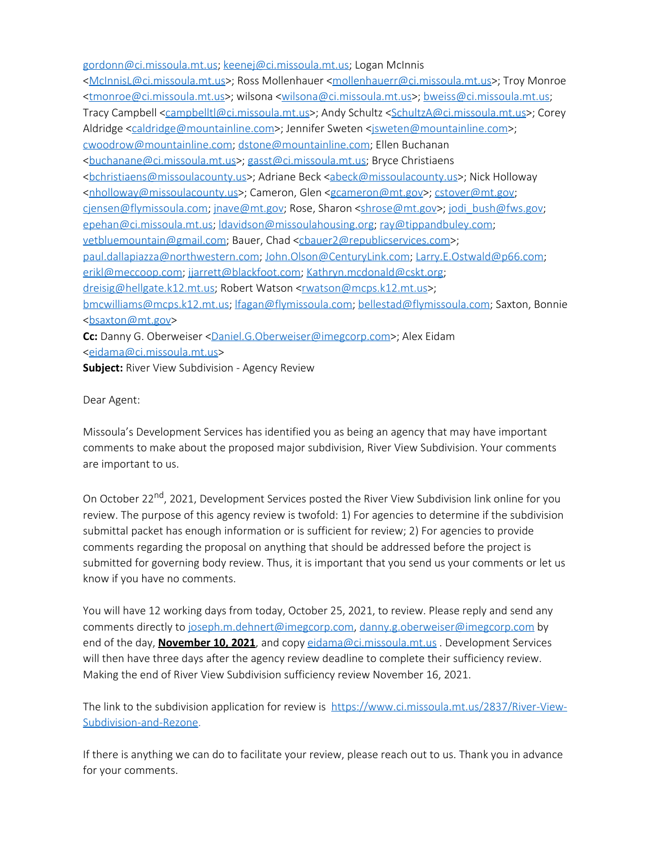[gordonn@ci.missoula.mt.us](mailto:gordonn@ci.missoula.mt.us); [keenej@ci.missoula.mt.us](mailto:keenej@ci.missoula.mt.us); Logan McInnis [<McInnisL@ci.missoula.mt.us](mailto:McInnisL@ci.missoula.mt.us)>; Ross Mollenhauer [<mollenhauerr@ci.missoula.mt.us](mailto:mollenhauerr@ci.missoula.mt.us)>; Troy Monroe [<tmonroe@ci.missoula.mt.us](mailto:tmonroe@ci.missoula.mt.us)>; wilsona [<wilsona@ci.missoula.mt.us](mailto:wilsona@ci.missoula.mt.us)>; [bweiss@ci.missoula.mt.us](mailto:bweiss@ci.missoula.mt.us); Tracy Campbell [<campbelltl@ci.missoula.mt.us](mailto:campbelltl@ci.missoula.mt.us)>; Andy Schultz <[SchultzA@ci.missoula.mt.us](mailto:SchultzA@ci.missoula.mt.us)>; Corey Aldridge <[caldridge@mountainline.com>](mailto:caldridge@mountainline.com); Jennifer Sweten [<jsweten@mountainline.com](mailto:jsweten@mountainline.com)>; [cwoodrow@mountainline.com](mailto:cwoodrow@mountainline.com); [dstone@mountainline.com](mailto:dstone@mountainline.com); Ellen Buchanan [<buchanane@ci.missoula.mt.us](mailto:buchanane@ci.missoula.mt.us)>; [gasst@ci.missoula.mt.us](mailto:gasst@ci.missoula.mt.us); Bryce Christiaens [<bchristiaens@missoulacounty.us](mailto:bchristiaens@missoulacounty.us)>; Adriane Beck <[abeck@missoulacounty.us](mailto:abeck@missoulacounty.us)>; Nick Holloway [<nholloway@missoulacounty.us](mailto:nholloway@missoulacounty.us)>; Cameron, Glen <[gcameron@mt.gov](mailto:gcameron@mt.gov)>; [cstover@mt.gov](mailto:cstover@mt.gov); [cjensen@flymissoula.com](mailto:cjensen@flymissoula.com); [jnave@mt.gov](mailto:jnave@mt.gov); Rose, Sharon [<shrose@mt.gov](mailto:shrose@mt.gov)>; [jodi\\_bush@fws.gov](mailto:jodi_bush@fws.gov); [epehan@ci.missoula.mt.us;](mailto:epehan@ci.missoula.mt.us) [ldavidson@missoulahousing.org](mailto:ldavidson@missoulahousing.org); [ray@tippandbuley.com](mailto:ray@tippandbuley.com); [vetbluemountain@gmail.com](mailto:vetbluemountain@gmail.com); Bauer, Chad [<cbauer2@republicservices.com>](mailto:cbauer2@republicservices.com); [paul.dallapiazza@northwestern.com](mailto:paul.dallapiazza@northwestern.com); [John.Olson@CenturyLink.com;](mailto:John.Olson@CenturyLink.com) [Larry.E.Ostwald@p66.com](mailto:Larry.E.Ostwald@p66.com); [erikl@meccoop.com](mailto:erikl@meccoop.com); [jjarrett@blackfoot.com](mailto:jjarrett@blackfoot.com); [Kathryn.mcdonald@cskt.org](mailto:Kathryn.mcdonald@cskt.org); [dreisig@hellgate.k12.mt.us](mailto:dreisig@hellgate.k12.mt.us); Robert Watson [<rwatson@mcps.k12.mt.us](mailto:rwatson@mcps.k12.mt.us)>; [bmcwilliams@mcps.k12.mt.us](mailto:bmcwilliams@mcps.k12.mt.us); [lfagan@flymissoula.com;](mailto:lfagan@flymissoula.com) [bellestad@flymissoula.com](mailto:bellestad@flymissoula.com); Saxton, Bonnie [<bsaxton@mt.gov](mailto:bsaxton@mt.gov)> **Cc:** Danny G. Oberweiser [<Daniel.G.Oberweiser@imegcorp.com](mailto:Daniel.G.Oberweiser@imegcorp.com)>; Alex Eidam [<eidama@ci.missoula.mt.us](mailto:eidama@ci.missoula.mt.us)>

**Subject:** River View Subdivision - Agency Review

Dear Agent:

Missoula's Development Services has identified you as being an agency that may have important comments to make about the proposed major subdivision, River View Subdivision. Your comments are important to us.

On October 22<sup>nd</sup>, 2021, Development Services posted the River View Subdivision link online for you review. The purpose of this agency review is twofold: 1) For agencies to determine if the subdivision submittal packet has enough information or is sufficient for review; 2) For agencies to provide comments regarding the proposal on anything that should be addressed before the project is submitted for governing body review. Thus, it is important that you send us your comments or let us know if you have no comments.

You will have 12 working days from today, October 25, 2021, to review. Please reply and send any comments directly to [joseph.m.dehnert@imegcorp.com](mailto:joseph.m.dehnert@imegcorp.com), [danny.g.oberweiser@imegcorp.com](mailto:danny.g.oberweiser@imegcorp.com) by end of the day, **November 10, 2021**, and copy [eidama@ci.missoula.mt.us](mailto:eidama@ci.missoula.mt.us) . Development Services will then have three days after the agency review deadline to complete their sufficiency review. Making the end of River View Subdivision sufficiency review November 16, 2021.

The link to the subdivision application for review is [https://www.ci.missoula.mt.us/2837/River-View-](https://nam04.safelinks.protection.outlook.com/?url=https%3A%2F%2Fwww.ci.missoula.mt.us%2F2837%2FRiver-View-Subdivision-and-Rezone&data=04%7C01%7CJoseph.M.Dehnert%40imegcorp.com%7C7349b52d7b904c6b503608d9995168ff%7C7b8f7acce1c0467a86e9678144da7881%7C1%7C0%7C637709397224911947%7CUnknown%7CTWFpbGZsb3d8eyJWIjoiMC4wLjAwMDAiLCJQIjoiV2luMzIiLCJBTiI6Ik1haWwiLCJXVCI6Mn0%3D%7C1000&sdata=YWMWN9yUej5JZ78aj9aDYTG8T4Axde%2Bde5lWGLqTGWE%3D&reserved=0)[Subdivision-and-Rezone](https://nam04.safelinks.protection.outlook.com/?url=https%3A%2F%2Fwww.ci.missoula.mt.us%2F2837%2FRiver-View-Subdivision-and-Rezone&data=04%7C01%7CJoseph.M.Dehnert%40imegcorp.com%7C7349b52d7b904c6b503608d9995168ff%7C7b8f7acce1c0467a86e9678144da7881%7C1%7C0%7C637709397224911947%7CUnknown%7CTWFpbGZsb3d8eyJWIjoiMC4wLjAwMDAiLCJQIjoiV2luMzIiLCJBTiI6Ik1haWwiLCJXVCI6Mn0%3D%7C1000&sdata=YWMWN9yUej5JZ78aj9aDYTG8T4Axde%2Bde5lWGLqTGWE%3D&reserved=0).

If there is anything we can do to facilitate your review, please reach out to us. Thank you in advance for your comments.